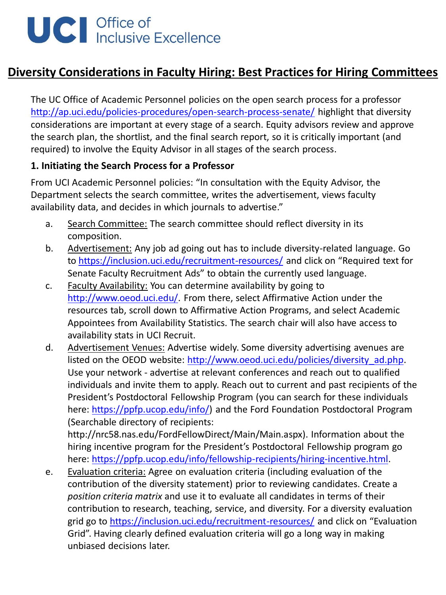# UC | Office of<br>Inclusive Excellence

## **Diversity Considerations in Faculty Hiring: Best Practices for Hiring Committees**

The UC Office of Academic Personnel policies on the open search process for a professor <http://ap.uci.edu/policies-procedures/open-search-process-senate/> highlight that diversity considerations are important at every stage of a search. Equity advisors review and approve the search plan, the shortlist, and the final search report, so it is critically important (and required) to involve the Equity Advisor in all stages of the search process.

#### **1. Initiating the Search Process for a Professor**

From UCI Academic Personnel policies: "In consultation with the Equity Advisor, the Department selects the search committee, writes the advertisement, views faculty availability data, and decides in which journals to advertise."

- a. Search Committee: The search committee should reflect diversity in its composition.
- b. Advertisement: Any job ad going out has to include diversity-related language. Go to<https://inclusion.uci.edu/recruitment-resources/> and click on "Required text for Senate Faculty Recruitment Ads" to obtain the currently used language.
- c. Faculty Availability: You can determine availability by going to [http://www.oeod.uci.edu/.](http://www.oeod.uci.edu/) From there, select Affirmative Action under the resources tab, scroll down to Affirmative Action Programs, and select Academic Appointees from Availability Statistics. The search chair will also have access to availability stats in UCI Recruit.
- d. Advertisement Venues: Advertise widely. Some diversity advertising avenues are listed on the OEOD website: [http://www.oeod.uci.edu/policies/diversity\\_ad.php.](http://www.oeod.uci.edu/policies/diversity_ad.php) Use your network - advertise at relevant conferences and reach out to qualified individuals and invite them to apply. Reach out to current and past recipients of the President's Postdoctoral Fellowship Program (you can search for these individuals here:<https://ppfp.ucop.edu/info/>) and the Ford Foundation Postdoctoral Program (Searchable directory of recipients:

http://nrc58.nas.edu/FordFellowDirect/Main/Main.aspx). Information about the hiring incentive program for the President's Postdoctoral Fellowship program go here:<https://ppfp.ucop.edu/info/fellowship-recipients/hiring-incentive.html>.

e. Evaluation criteria: Agree on evaluation criteria (including evaluation of the contribution of the diversity statement) prior to reviewing candidates. Create a *position criteria matrix* and use it to evaluate all candidates in terms of their contribution to research, teaching, service, and diversity. For a diversity evaluation grid go to <https://inclusion.uci.edu/recruitment-resources/> and click on "Evaluation Grid". Having clearly defined evaluation criteria will go a long way in making unbiased decisions later.